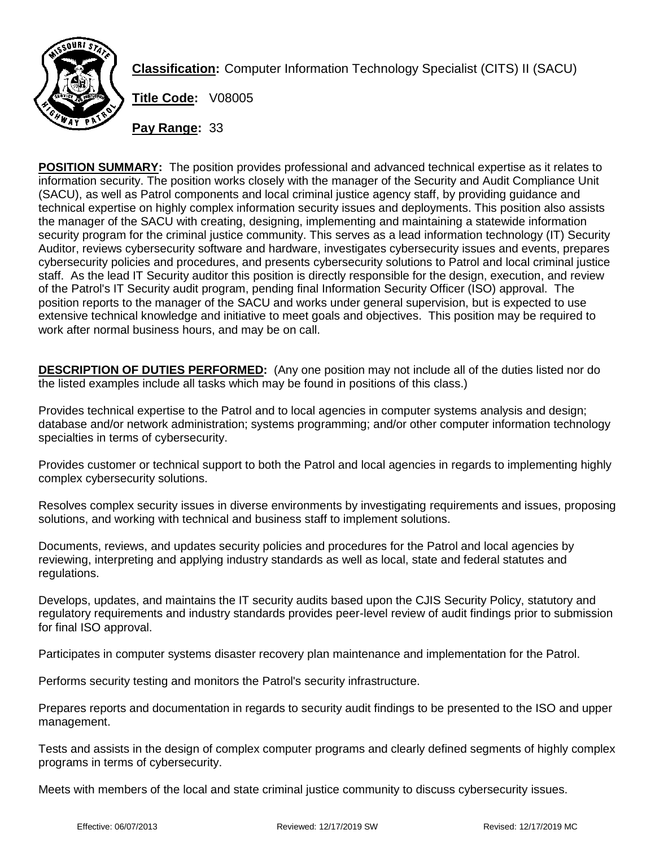

**Classification:** Computer Information Technology Specialist (CITS) II (SACU)

**Title Code:** V08005

**Pay Range:** 33

**POSITION SUMMARY:** The position provides professional and advanced technical expertise as it relates to information security. The position works closely with the manager of the Security and Audit Compliance Unit (SACU), as well as Patrol components and local criminal justice agency staff, by providing guidance and technical expertise on highly complex information security issues and deployments. This position also assists the manager of the SACU with creating, designing, implementing and maintaining a statewide information security program for the criminal justice community. This serves as a lead information technology (IT) Security Auditor, reviews cybersecurity software and hardware, investigates cybersecurity issues and events, prepares cybersecurity policies and procedures, and presents cybersecurity solutions to Patrol and local criminal justice staff. As the lead IT Security auditor this position is directly responsible for the design, execution, and review of the Patrol's IT Security audit program, pending final Information Security Officer (ISO) approval. The position reports to the manager of the SACU and works under general supervision, but is expected to use extensive technical knowledge and initiative to meet goals and objectives. This position may be required to work after normal business hours, and may be on call.

**DESCRIPTION OF DUTIES PERFORMED:** (Any one position may not include all of the duties listed nor do the listed examples include all tasks which may be found in positions of this class.)

Provides technical expertise to the Patrol and to local agencies in computer systems analysis and design; database and/or network administration; systems programming; and/or other computer information technology specialties in terms of cybersecurity.

Provides customer or technical support to both the Patrol and local agencies in regards to implementing highly complex cybersecurity solutions.

Resolves complex security issues in diverse environments by investigating requirements and issues, proposing solutions, and working with technical and business staff to implement solutions.

Documents, reviews, and updates security policies and procedures for the Patrol and local agencies by reviewing, interpreting and applying industry standards as well as local, state and federal statutes and regulations.

Develops, updates, and maintains the IT security audits based upon the CJIS Security Policy, statutory and regulatory requirements and industry standards provides peer-level review of audit findings prior to submission for final ISO approval.

Participates in computer systems disaster recovery plan maintenance and implementation for the Patrol.

Performs security testing and monitors the Patrol's security infrastructure.

Prepares reports and documentation in regards to security audit findings to be presented to the ISO and upper management.

Tests and assists in the design of complex computer programs and clearly defined segments of highly complex programs in terms of cybersecurity.

Meets with members of the local and state criminal justice community to discuss cybersecurity issues.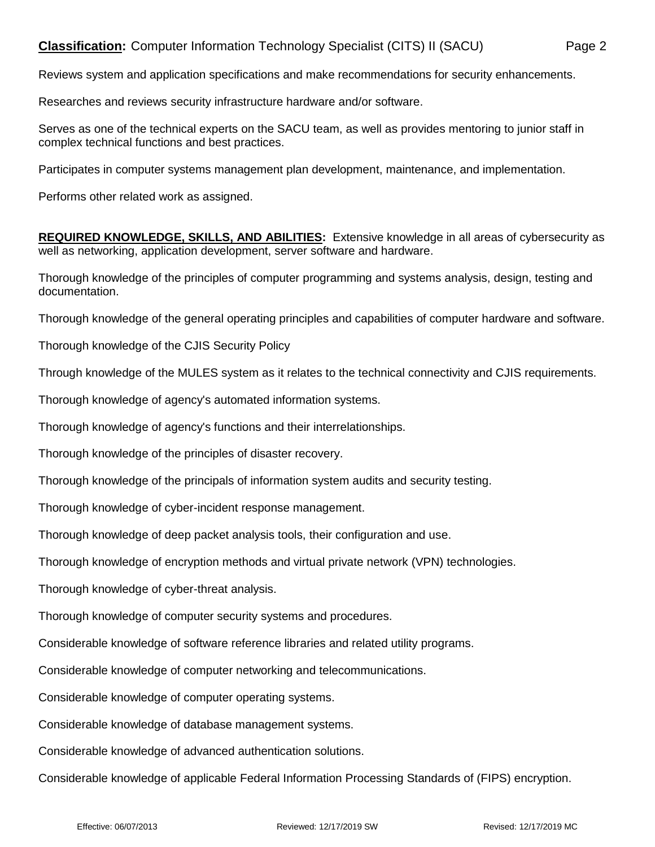## **Classification:** Computer Information Technology Specialist (CITS) II (SACU) Page 2

Reviews system and application specifications and make recommendations for security enhancements.

Researches and reviews security infrastructure hardware and/or software.

Serves as one of the technical experts on the SACU team, as well as provides mentoring to junior staff in complex technical functions and best practices.

Participates in computer systems management plan development, maintenance, and implementation.

Performs other related work as assigned.

**REQUIRED KNOWLEDGE, SKILLS, AND ABILITIES:** Extensive knowledge in all areas of cybersecurity as well as networking, application development, server software and hardware.

Thorough knowledge of the principles of computer programming and systems analysis, design, testing and documentation.

Thorough knowledge of the general operating principles and capabilities of computer hardware and software.

Thorough knowledge of the CJIS Security Policy

Through knowledge of the MULES system as it relates to the technical connectivity and CJIS requirements.

Thorough knowledge of agency's automated information systems.

Thorough knowledge of agency's functions and their interrelationships.

Thorough knowledge of the principles of disaster recovery.

Thorough knowledge of the principals of information system audits and security testing.

Thorough knowledge of cyber-incident response management.

Thorough knowledge of deep packet analysis tools, their configuration and use.

Thorough knowledge of encryption methods and virtual private network (VPN) technologies.

Thorough knowledge of cyber-threat analysis.

Thorough knowledge of computer security systems and procedures.

Considerable knowledge of software reference libraries and related utility programs.

Considerable knowledge of computer networking and telecommunications.

Considerable knowledge of computer operating systems.

Considerable knowledge of database management systems.

Considerable knowledge of advanced authentication solutions.

Considerable knowledge of applicable Federal Information Processing Standards of (FIPS) encryption.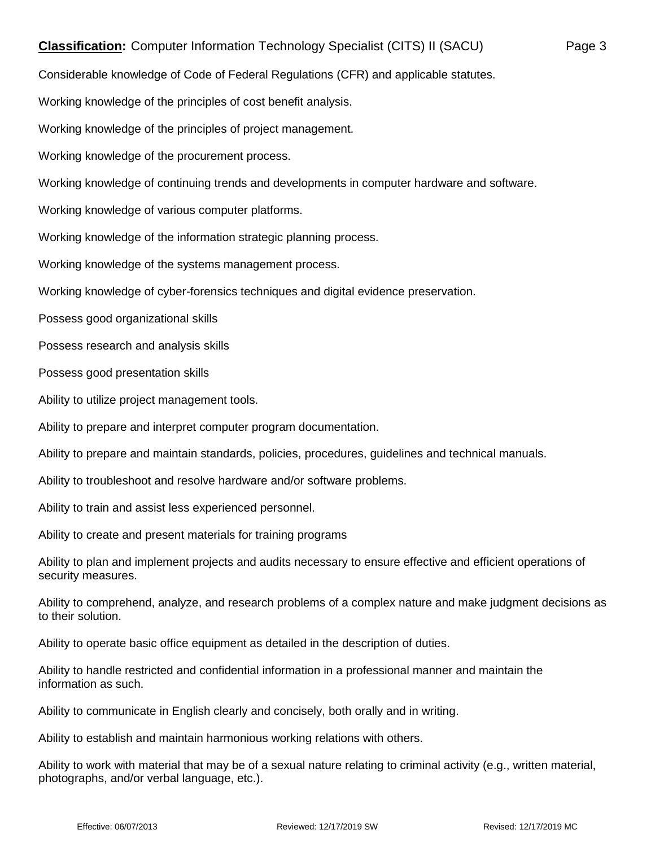Considerable knowledge of Code of Federal Regulations (CFR) and applicable statutes.

Working knowledge of the principles of cost benefit analysis.

Working knowledge of the principles of project management.

Working knowledge of the procurement process.

Working knowledge of continuing trends and developments in computer hardware and software.

Working knowledge of various computer platforms.

Working knowledge of the information strategic planning process.

Working knowledge of the systems management process.

Working knowledge of cyber-forensics techniques and digital evidence preservation.

Possess good organizational skills

Possess research and analysis skills

Possess good presentation skills

Ability to utilize project management tools.

Ability to prepare and interpret computer program documentation.

Ability to prepare and maintain standards, policies, procedures, guidelines and technical manuals.

Ability to troubleshoot and resolve hardware and/or software problems.

Ability to train and assist less experienced personnel.

Ability to create and present materials for training programs

Ability to plan and implement projects and audits necessary to ensure effective and efficient operations of security measures.

Ability to comprehend, analyze, and research problems of a complex nature and make judgment decisions as to their solution.

Ability to operate basic office equipment as detailed in the description of duties.

Ability to handle restricted and confidential information in a professional manner and maintain the information as such.

Ability to communicate in English clearly and concisely, both orally and in writing.

Ability to establish and maintain harmonious working relations with others.

Ability to work with material that may be of a sexual nature relating to criminal activity (e.g., written material, photographs, and/or verbal language, etc.).